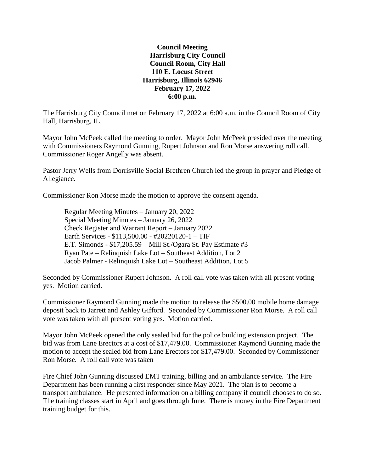## **Council Meeting Harrisburg City Council Council Room, City Hall 110 E. Locust Street Harrisburg, Illinois 62946 February 17, 2022 6:00 p.m.**

The Harrisburg City Council met on February 17, 2022 at 6:00 a.m. in the Council Room of City Hall, Harrisburg, IL.

Mayor John McPeek called the meeting to order. Mayor John McPeek presided over the meeting with Commissioners Raymond Gunning, Rupert Johnson and Ron Morse answering roll call. Commissioner Roger Angelly was absent.

Pastor Jerry Wells from Dorrisville Social Brethren Church led the group in prayer and Pledge of Allegiance.

Commissioner Ron Morse made the motion to approve the consent agenda.

Regular Meeting Minutes – January 20, 2022 Special Meeting Minutes – January 26, 2022 Check Register and Warrant Report – January 2022 Earth Services - \$113,500.00 - #20220120-1 – TIF E.T. Simonds - \$17,205.59 – Mill St./Ogara St. Pay Estimate #3 Ryan Pate – Relinquish Lake Lot – Southeast Addition, Lot 2 Jacob Palmer - Relinquish Lake Lot – Southeast Addition, Lot 5

Seconded by Commissioner Rupert Johnson. A roll call vote was taken with all present voting yes. Motion carried.

Commissioner Raymond Gunning made the motion to release the \$500.00 mobile home damage deposit back to Jarrett and Ashley Gifford. Seconded by Commissioner Ron Morse. A roll call vote was taken with all present voting yes. Motion carried.

Mayor John McPeek opened the only sealed bid for the police building extension project. The bid was from Lane Erectors at a cost of \$17,479.00. Commissioner Raymond Gunning made the motion to accept the sealed bid from Lane Erectors for \$17,479.00. Seconded by Commissioner Ron Morse. A roll call vote was taken

Fire Chief John Gunning discussed EMT training, billing and an ambulance service. The Fire Department has been running a first responder since May 2021. The plan is to become a transport ambulance. He presented information on a billing company if council chooses to do so. The training classes start in April and goes through June. There is money in the Fire Department training budget for this.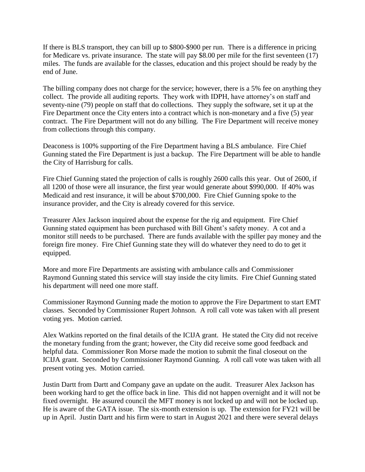If there is BLS transport, they can bill up to \$800-\$900 per run. There is a difference in pricing for Medicare vs. private insurance. The state will pay \$8.00 per mile for the first seventeen (17) miles. The funds are available for the classes, education and this project should be ready by the end of June.

The billing company does not charge for the service; however, there is a 5% fee on anything they collect. The provide all auditing reports. They work with IDPH, have attorney's on staff and seventy-nine (79) people on staff that do collections. They supply the software, set it up at the Fire Department once the City enters into a contract which is non-monetary and a five (5) year contract. The Fire Department will not do any billing. The Fire Department will receive money from collections through this company.

Deaconess is 100% supporting of the Fire Department having a BLS ambulance. Fire Chief Gunning stated the Fire Department is just a backup. The Fire Department will be able to handle the City of Harrisburg for calls.

Fire Chief Gunning stated the projection of calls is roughly 2600 calls this year. Out of 2600, if all 1200 of those were all insurance, the first year would generate about \$990,000. If 40% was Medicaid and rest insurance, it will be about \$700,000. Fire Chief Gunning spoke to the insurance provider, and the City is already covered for this service.

Treasurer Alex Jackson inquired about the expense for the rig and equipment. Fire Chief Gunning stated equipment has been purchased with Bill Ghent's safety money. A cot and a monitor still needs to be purchased. There are funds available with the spiller pay money and the foreign fire money. Fire Chief Gunning state they will do whatever they need to do to get it equipped.

More and more Fire Departments are assisting with ambulance calls and Commissioner Raymond Gunning stated this service will stay inside the city limits. Fire Chief Gunning stated his department will need one more staff.

Commissioner Raymond Gunning made the motion to approve the Fire Department to start EMT classes. Seconded by Commissioner Rupert Johnson. A roll call vote was taken with all present voting yes. Motion carried.

Alex Watkins reported on the final details of the ICIJA grant. He stated the City did not receive the monetary funding from the grant; however, the City did receive some good feedback and helpful data. Commissioner Ron Morse made the motion to submit the final closeout on the ICIJA grant. Seconded by Commissioner Raymond Gunning. A roll call vote was taken with all present voting yes. Motion carried.

Justin Dartt from Dartt and Company gave an update on the audit. Treasurer Alex Jackson has been working hard to get the office back in line. This did not happen overnight and it will not be fixed overnight. He assured council the MFT money is not locked up and will not be locked up. He is aware of the GATA issue. The six-month extension is up. The extension for FY21 will be up in April. Justin Dartt and his firm were to start in August 2021 and there were several delays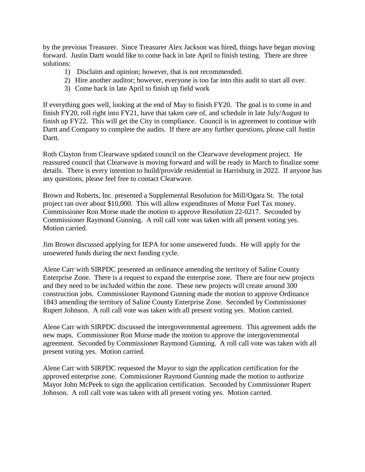by the previous Treasurer. Since Treasurer Alex Jackson was hired, things have began moving forward. Justin Dartt would like to come back in late April to finish testing. There are three solutions:

- 1) Disclaim and opinion; however, that is not recommended.
- 2) Hire another auditor; however, everyone is too far into this audit to start all over.
- 3) Come back in late April to finish up field work

If everything goes well, looking at the end of May to finish FY20. The goal is to come in and finish FY20, roll right into FY21, have that taken care of, and schedule in late July/August to finish up FY22. This will get the City in compliance. Council is in agreement to continue with Dartt and Company to complete the audits. If there are any further questions, please call Justin Dartt.

Roth Clayton from Clearwave updated council on the Clearwave development project. He reassured council that Clearwave is moving forward and will be ready in March to finalize some details. There is every intention to build/provide residential in Harrisburg in 2022. If anyone has any questions, please feel free to contact Clearwave.

Brown and Roberts, Inc. presented a Supplemental Resolution for Mill/Ogara St. The total project ran over about \$10,000. This will allow expenditures of Motor Fuel Tax money. Commissioner Ron Morse made the motion to approve Resolution 22-0217. Seconded by Commissioner Raymond Gunning. A roll call vote was taken with all present voting yes. Motion carried.

Jim Brown discussed applying for IEPA for some unsewered funds. He will apply for the unsewered funds during the next funding cycle.

Alene Carr with SIRPDC presented an ordinance amending the territory of Saline County Enterprise Zone. There is a request to expand the enterprise zone. There are four new projects and they need to be included within the zone. These new projects will create around 300 construction jobs. Commissioner Raymond Gunning made the motion to approve Ordinance 1843 amending the territory of Saline County Enterprise Zone. Seconded by Commissioner Rupert Johnson. A roll call vote was taken with all present voting yes. Motion carried.

Alene Carr with SIRPDC discussed the intergovernmental agreement. This agreement adds the new maps. Commissioner Ron Morse made the motion to approve the intergovernmental agreement. Seconded by Commissioner Raymond Gunning. A roll call vote was taken with all present voting yes. Motion carried.

Alene Carr with SIRPDC requested the Mayor to sign the application certification for the approved enterprise zone. Commissioner Raymond Gunning made the motion to authorize Mayor John McPeek to sign the application certification. Seconded by Commissioner Rupert Johnson. A roll call vote was taken with all present voting yes. Motion carried.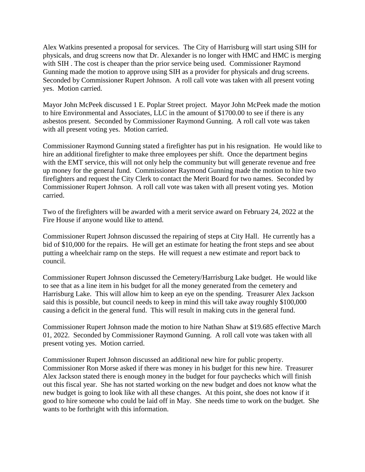Alex Watkins presented a proposal for services. The City of Harrisburg will start using SIH for physicals, and drug screens now that Dr. Alexander is no longer with HMC and HMC is merging with SIH . The cost is cheaper than the prior service being used. Commissioner Raymond Gunning made the motion to approve using SIH as a provider for physicals and drug screens. Seconded by Commissioner Rupert Johnson. A roll call vote was taken with all present voting yes. Motion carried.

Mayor John McPeek discussed 1 E. Poplar Street project. Mayor John McPeek made the motion to hire Environmental and Associates, LLC in the amount of \$1700.00 to see if there is any asbestos present. Seconded by Commissioner Raymond Gunning. A roll call vote was taken with all present voting yes. Motion carried.

Commissioner Raymond Gunning stated a firefighter has put in his resignation. He would like to hire an additional firefighter to make three employees per shift. Once the department begins with the EMT service, this will not only help the community but will generate revenue and free up money for the general fund. Commissioner Raymond Gunning made the motion to hire two firefighters and request the City Clerk to contact the Merit Board for two names. Seconded by Commissioner Rupert Johnson. A roll call vote was taken with all present voting yes. Motion carried.

Two of the firefighters will be awarded with a merit service award on February 24, 2022 at the Fire House if anyone would like to attend.

Commissioner Rupert Johnson discussed the repairing of steps at City Hall. He currently has a bid of \$10,000 for the repairs. He will get an estimate for heating the front steps and see about putting a wheelchair ramp on the steps. He will request a new estimate and report back to council.

Commissioner Rupert Johnson discussed the Cemetery/Harrisburg Lake budget. He would like to see that as a line item in his budget for all the money generated from the cemetery and Harrisburg Lake. This will allow him to keep an eye on the spending. Treasurer Alex Jackson said this is possible, but council needs to keep in mind this will take away roughly \$100,000 causing a deficit in the general fund. This will result in making cuts in the general fund.

Commissioner Rupert Johnson made the motion to hire Nathan Shaw at \$19.685 effective March 01, 2022. Seconded by Commissioner Raymond Gunning. A roll call vote was taken with all present voting yes. Motion carried.

Commissioner Rupert Johnson discussed an additional new hire for public property. Commissioner Ron Morse asked if there was money in his budget for this new hire. Treasurer Alex Jackson stated there is enough money in the budget for four paychecks which will finish out this fiscal year. She has not started working on the new budget and does not know what the new budget is going to look like with all these changes. At this point, she does not know if it good to hire someone who could be laid off in May. She needs time to work on the budget. She wants to be forthright with this information.